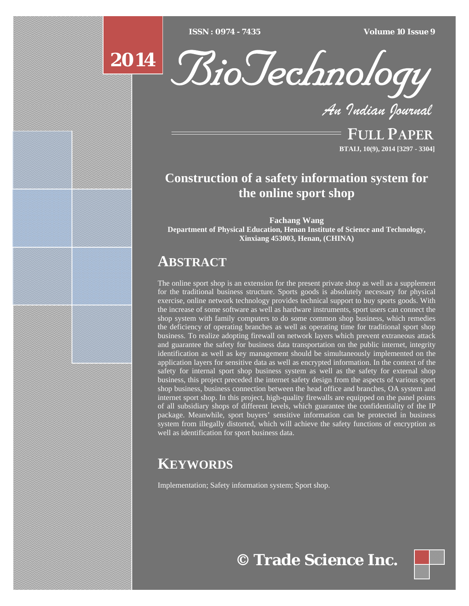[Type text] [Type text] [Type text] *ISSN : 0974 - 7435 Volume 10 Issue 9*

# **2014**



*An Indian Journal*

FULL PAPER **BTAIJ, 10(9), 2014 [3297 - 3304]**

## **Construction of a safety information system for the online sport shop**

**Fachang Wang Department of Physical Education, Henan Institute of Science and Technology, Xinxiang 453003, Henan, (CHINA)**

## **ABSTRACT**

The online sport shop is an extension for the present private shop as well as a supplement for the traditional business structure. Sports goods is absolutely necessary for physical exercise, online network technology provides technical support to buy sports goods. With the increase of some software as well as hardware instruments, sport users can connect the shop system with family computers to do some common shop business, which remedies the deficiency of operating branches as well as operating time for traditional sport shop business. To realize adopting firewall on network layers which prevent extraneous attack and guarantee the safety for business data transportation on the public internet, integrity identification as well as key management should be simultaneously implemented on the application layers for sensitive data as well as encrypted information. In the context of the safety for internal sport shop business system as well as the safety for external shop business, this project preceded the internet safety design from the aspects of various sport shop business, business connection between the head office and branches, OA system and internet sport shop. In this project, high-quality firewalls are equipped on the panel points of all subsidiary shops of different levels, which guarantee the confidentiality of the IP package. Meanwhile, sport buyers' sensitive information can be protected in business system from illegally distorted, which will achieve the safety functions of encryption as well as identification for sport business data.

## **KEYWORDS**

Implementation; Safety information system; Sport shop.



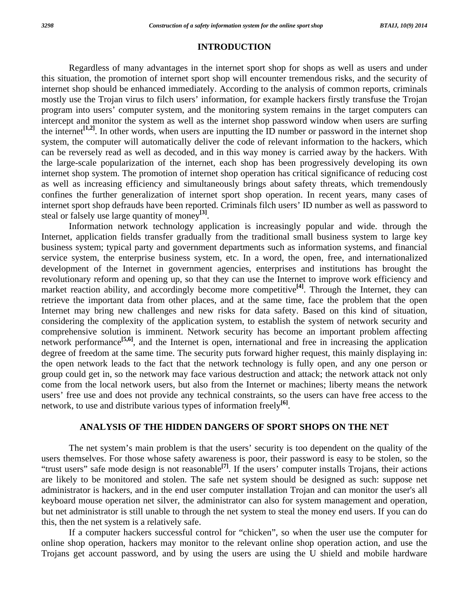#### **INTRODUCTION**

 Regardless of many advantages in the internet sport shop for shops as well as users and under this situation, the promotion of internet sport shop will encounter tremendous risks, and the security of internet shop should be enhanced immediately. According to the analysis of common reports, criminals mostly use the Trojan virus to filch users' information, for example hackers firstly transfuse the Trojan program into users' computer system, and the monitoring system remains in the target computers can intercept and monitor the system as well as the internet shop password window when users are surfing the internet<sup>[1,2]</sup>. In other words, when users are inputting the ID number or password in the internet shop system, the computer will automatically deliver the code of relevant information to the hackers, which can be reversely read as well as decoded, and in this way money is carried away by the hackers. With the large-scale popularization of the internet, each shop has been progressively developing its own internet shop system. The promotion of internet shop operation has critical significance of reducing cost as well as increasing efficiency and simultaneously brings about safety threats, which tremendously confines the further generalization of internet sport shop operation. In recent years, many cases of internet sport shop defrauds have been reported. Criminals filch users' ID number as well as password to steal or falsely use large quantity of money**[3]**.

 Information network technology application is increasingly popular and wide. through the Internet, application fields transfer gradually from the traditional small business system to large key business system; typical party and government departments such as information systems, and financial service system, the enterprise business system, etc. In a word, the open, free, and internationalized development of the Internet in government agencies, enterprises and institutions has brought the revolutionary reform and opening up, so that they can use the Internet to improve work efficiency and market reaction ability, and accordingly become more competitive<sup>[4]</sup>. Through the Internet, they can retrieve the important data from other places, and at the same time, face the problem that the open Internet may bring new challenges and new risks for data safety. Based on this kind of situation, considering the complexity of the application system, to establish the system of network security and comprehensive solution is imminent. Network security has become an important problem affecting network performance<sup>[5,6]</sup>, and the Internet is open, international and free in increasing the application degree of freedom at the same time. The security puts forward higher request, this mainly displaying in: the open network leads to the fact that the network technology is fully open, and any one person or group could get in, so the network may face various destruction and attack; the network attack not only come from the local network users, but also from the Internet or machines; liberty means the network users' free use and does not provide any technical constraints, so the users can have free access to the network, to use and distribute various types of information freely**[6]**.

#### **ANALYSIS OF THE HIDDEN DANGERS OF SPORT SHOPS ON THE NET**

 The net system's main problem is that the users' security is too dependent on the quality of the users themselves. For those whose safety awareness is poor, their password is easy to be stolen, so the "trust users" safe mode design is not reasonable**[7]**. If the users' computer installs Trojans, their actions are likely to be monitored and stolen. The safe net system should be designed as such: suppose net administrator is hackers, and in the end user computer installation Trojan and can monitor the user's all keyboard mouse operation net silver, the administrator can also for system management and operation, but net administrator is still unable to through the net system to steal the money end users. If you can do this, then the net system is a relatively safe.

 If a computer hackers successful control for "chicken", so when the user use the computer for online shop operation, hackers may monitor to the relevant online shop operation action, and use the Trojans get account password, and by using the users are using the U shield and mobile hardware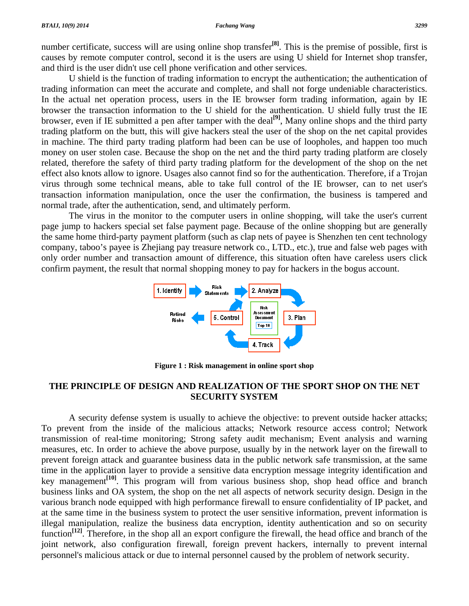number certificate, success will are using online shop transfer**[8]**. This is the premise of possible, first is causes by remote computer control, second it is the users are using U shield for Internet shop transfer, and third is the user didn't use cell phone verification and other services.

 U shield is the function of trading information to encrypt the authentication; the authentication of trading information can meet the accurate and complete, and shall not forge undeniable characteristics. In the actual net operation process, users in the IE browser form trading information, again by IE browser the transaction information to the U shield for the authentication. U shield fully trust the IE browser, even if IE submitted a pen after tamper with the deal**[9]**, Many online shops and the third party trading platform on the butt, this will give hackers steal the user of the shop on the net capital provides in machine. The third party trading platform had been can be use of loopholes, and happen too much money on user stolen case. Because the shop on the net and the third party trading platform are closely related, therefore the safety of third party trading platform for the development of the shop on the net effect also knots allow to ignore. Usages also cannot find so for the authentication. Therefore, if a Trojan virus through some technical means, able to take full control of the IE browser, can to net user's transaction information manipulation, once the user the confirmation, the business is tampered and normal trade, after the authentication, send, and ultimately perform.

 The virus in the monitor to the computer users in online shopping, will take the user's current page jump to hackers special set false payment page. Because of the online shopping but are generally the same home third-party payment platform (such as clap nets of payee is Shenzhen ten cent technology company, taboo's payee is Zhejiang pay treasure network co., LTD., etc.), true and false web pages with only order number and transaction amount of difference, this situation often have careless users click confirm payment, the result that normal shopping money to pay for hackers in the bogus account.



**Figure 1 : Risk management in online sport shop** 

#### **THE PRINCIPLE OF DESIGN AND REALIZATION OF THE SPORT SHOP ON THE NET SECURITY SYSTEM**

 A security defense system is usually to achieve the objective: to prevent outside hacker attacks; To prevent from the inside of the malicious attacks; Network resource access control; Network transmission of real-time monitoring; Strong safety audit mechanism; Event analysis and warning measures, etc. In order to achieve the above purpose, usually by in the network layer on the firewall to prevent foreign attack and guarantee business data in the public network safe transmission, at the same time in the application layer to provide a sensitive data encryption message integrity identification and key management**[10]**. This program will from various business shop, shop head office and branch business links and OA system, the shop on the net all aspects of network security design. Design in the various branch node equipped with high performance firewall to ensure confidentiality of IP packet, and at the same time in the business system to protect the user sensitive information, prevent information is illegal manipulation, realize the business data encryption, identity authentication and so on security function<sup>[12]</sup>. Therefore, in the shop all an export configure the firewall, the head office and branch of the joint network, also configuration firewall, foreign prevent hackers, internally to prevent internal personnel's malicious attack or due to internal personnel caused by the problem of network security.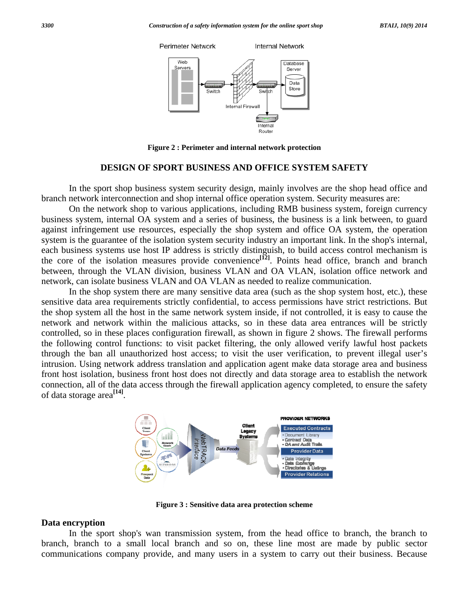

Figure 2 : Perimeter and internal network protection

#### **DESIGN OF SPORT BUSINESS AND OFFICE SYSTEM SAFETY**

In the sport shop business system security design, mainly involves are the shop head office and branch network interconnection and shop internal office operation system. Security measures are:

On the network shop to various applications, including RMB business system, foreign currency business system, internal OA system and a series of business, the business is a link between, to guard against infringement use resources, especially the shop system and office OA system, the operation system is the guarantee of the isolation system security industry an important link. In the shop's internal, each business systems use host IP address is strictly distinguish, to build access control mechanism is the core of the isolation measures provide convenience<sup>[12]</sup>. Points head office, branch and branch between, through the VLAN division, business VLAN and OA VLAN, isolation office network and network, can isolate business VLAN and OA VLAN as needed to realize communication.

In the shop system there are many sensitive data area (such as the shop system host, etc.), these sensitive data area requirements strictly confidential, to access permissions have strict restrictions. But the shop system all the host in the same network system inside, if not controlled, it is easy to cause the network and network within the malicious attacks, so in these data area entrances will be strictly controlled, so in these places configuration firewall, as shown in figure 2 shows. The firewall performs the following control functions: to visit packet filtering, the only allowed verify lawful host packets through the ban all unauthorized host access; to visit the user verification, to prevent illegal user's intrusion. Using network address translation and application agent make data storage area and business front host isolation, business front host does not directly and data storage area to establish the network connection, all of the data access through the firewall application agency completed, to ensure the safety of data storage area<sup>[14]</sup>.



Figure 3 : Sensitive data area protection scheme

#### Data encryption

In the sport shop's wan transmission system, from the head office to branch, the branch to branch, branch to a small local branch and so on, these line most are made by public sector communications company provide, and many users in a system to carry out their business. Because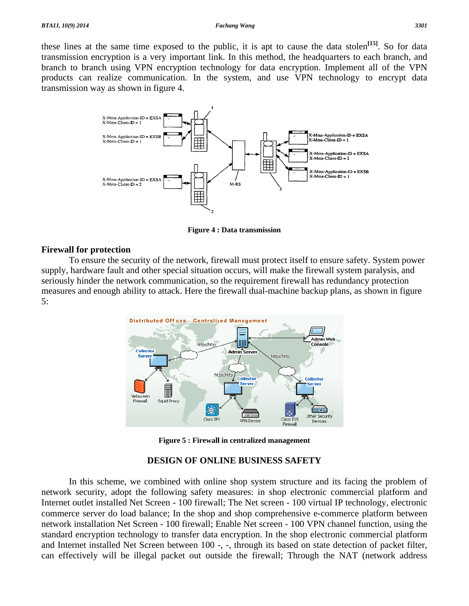#### **Fachang Wang**

these lines at the same time exposed to the public, it is apt to cause the data stolen<sup>[15]</sup>. So for data transmission encryption is a very important link. In this method, the headquarters to each branch, and branch to branch using VPN encryption technology for data encryption. Implement all of the VPN products can realize communication. In the system, and use VPN technology to encrypt data transmission way as shown in figure 4.



**Figure 4 : Data transmission** 

#### **Firewall for protection**

To ensure the security of the network, firewall must protect itself to ensure safety. System power supply, hardware fault and other special situation occurs, will make the firewall system paralysis, and seriously hinder the network communication, so the requirement firewall has redundancy protection measures and enough ability to attack. Here the firewall dual-machine backup plans, as shown in figure  $5:$ 



**Figure 5: Firewall in centralized management** 

### **DESIGN OF ONLINE BUSINESS SAFETY**

In this scheme, we combined with online shop system structure and its facing the problem of network security, adopt the following safety measures: in shop electronic commercial platform and Internet outlet installed Net Screen - 100 firewall; The Net screen - 100 virtual IP technology, electronic commerce server do load balance; In the shop and shop comprehensive e-commerce platform between network installation Net Screen - 100 firewall; Enable Net screen - 100 VPN channel function, using the standard encryption technology to transfer data encryption. In the shop electronic commercial platform and Internet installed Net Screen between 100 -, -, through its based on state detection of packet filter, can effectively will be illegal packet out outside the firewall; Through the NAT (network address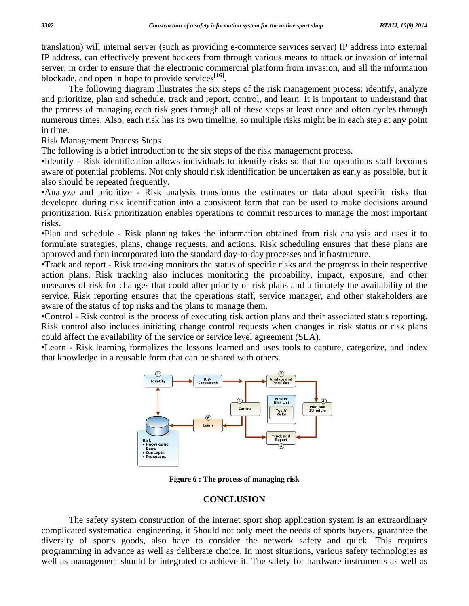translation) will internal server (such as providing e-commerce services server) IP address into external IP address, can effectively prevent hackers from through various means to attack or invasion of internal server, in order to ensure that the electronic commercial platform from invasion, and all the information blockade, and open in hope to provide services**[16]**.

 The following diagram illustrates the six steps of the risk management process: identify, analyze and prioritize, plan and schedule, track and report, control, and learn. It is important to understand that the process of managing each risk goes through all of these steps at least once and often cycles through numerous times. Also, each risk has its own timeline, so multiple risks might be in each step at any point in time.

Risk Management Process Steps

The following is a brief introduction to the six steps of the risk management process.

•Identify - Risk identification allows individuals to identify risks so that the operations staff becomes aware of potential problems. Not only should risk identification be undertaken as early as possible, but it also should be repeated frequently.

•Analyze and prioritize - Risk analysis transforms the estimates or data about specific risks that developed during risk identification into a consistent form that can be used to make decisions around prioritization. Risk prioritization enables operations to commit resources to manage the most important risks.

•Plan and schedule - Risk planning takes the information obtained from risk analysis and uses it to formulate strategies, plans, change requests, and actions. Risk scheduling ensures that these plans are approved and then incorporated into the standard day-to-day processes and infrastructure.

•Track and report - Risk tracking monitors the status of specific risks and the progress in their respective action plans. Risk tracking also includes monitoring the probability, impact, exposure, and other measures of risk for changes that could alter priority or risk plans and ultimately the availability of the service. Risk reporting ensures that the operations staff, service manager, and other stakeholders are aware of the status of top risks and the plans to manage them.

•Control - Risk control is the process of executing risk action plans and their associated status reporting. Risk control also includes initiating change control requests when changes in risk status or risk plans could affect the availability of the service or service level agreement (SLA).

•Learn - Risk learning formalizes the lessons learned and uses tools to capture, categorize, and index that knowledge in a reusable form that can be shared with others.



**Figure 6 : The process of managing risk** 

#### **CONCLUSION**

 The safety system construction of the internet sport shop application system is an extraordinary complicated systematical engineering, it Should not only meet the needs of sports buyers, guarantee the diversity of sports goods, also have to consider the network safety and quick. This requires programming in advance as well as deliberate choice. In most situations, various safety technologies as well as management should be integrated to achieve it. The safety for hardware instruments as well as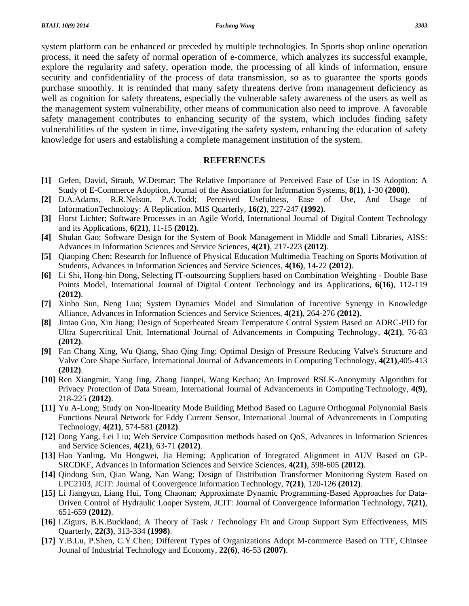system platform can be enhanced or preceded by multiple technologies. In Sports shop online operation process, it need the safety of normal operation of e-commerce, which analyzes its successful example, explore the regularity and safety, operation mode, the processing of all kinds of information, ensure security and confidentiality of the process of data transmission, so as to guarantee the sports goods purchase smoothly. It is reminded that many safety threatens derive from management deficiency as well as cognition for safety threatens, especially the vulnerable safety awareness of the users as well as the management system vulnerability, other means of communication also need to improve. A favorable safety management contributes to enhancing security of the system, which includes finding safety vulnerabilities of the system in time, investigating the safety system, enhancing the education of safety knowledge for users and establishing a complete management institution of the system.

#### **REFERENCES**

- **[1]** Gefen, David, Straub, W.Detmar; The Relative Importance of Perceived Ease of Use in IS Adoption: A Study of E-Commerce Adoption, Journal of the Association for Information Systems, **8(1)**, 1-30 **(2000)**.
- **[2]** D.A.Adams, R.R.Nelson, P.A.Todd; Perceived Usefulness, Ease of Use, And Usage of InformationTechnology: A Replication. MIS Quarterly, **16(2)**, 227-247 **(1992)**.
- **[3]** Horst Lichter; Software Processes in an Agile World, International Journal of Digital Content Technology and its Applications, **6(21)**, 11-15 **(2012)**.
- **[4]** Shulan Gao; Software Design for the System of Book Management in Middle and Small Libraries, AISS: Advances in Information Sciences and Service Sciences, **4(21)**, 217-223 **(2012)**.
- **[5]** Qiaoping Chen; Research for Influence of Physical Education Multimedia Teaching on Sports Motivation of Students, Advances in Information Sciences and Service Sciences, **4(16)**, 14-22 **(2012)**.
- **[6]** Li Shi, Hong-bin Dong, Selecting IT-outsourcing Suppliers based on Combination Weighting Double Base Points Model, International Journal of Digital Content Technology and its Applications, **6(16)**, 112-119 **(2012)**.
- **[7]** Xinbo Sun, Neng Luo; System Dynamics Model and Simulation of Incentive Synergy in Knowledge Alliance, Advances in Information Sciences and Service Sciences, **4(21)**, 264-276 **(2012)**.
- **[8]** Jintao Guo, Xin Jiang; Design of Superheated Steam Temperature Control System Based on ADRC-PID for Ultra Supercritical Unit, International Journal of Advancements in Computing Technology, **4(21)**, 76-83 **(2012)**.
- **[9]** Fan Chang Xing, Wu Qiang, Shao Qing Jing; Optimal Design of Pressure Reducing Valve's Structure and Valve Core Shape Surface, International Journal of Advancements in Computing Technology, **4(21)**,405-413 **(2012)**.
- **[10]** Ren Xiangmin, Yang Jing, Zhang Jianpei, Wang Kechao; An Improved RSLK-Anonymity Algorithm for Privacy Protection of Data Stream, International Journal of Advancements in Computing Technology, **4(9)**, 218-225 **(2012)**.
- **[11]** Yu A-Long; Study on Non-linearity Mode Building Method Based on Lagurre Orthogonal Polynomial Basis Functions Neural Network for Eddy Current Sensor, International Journal of Advancements in Computing Technology, **4(21)**, 574-581 **(2012)**.
- **[12]** Dong Yang, Lei Liu; Web Service Composition methods based on QoS, Advances in Information Sciences and Service Sciences, **4(21)**, 63-71 **(2012)**.
- **[13]** Hao Yanling, Mu Hongwei, Jia Heming; Application of Integrated Alignment in AUV Based on GP-SRCDKF, Advances in Information Sciences and Service Sciences, **4(21)**, 598-605 **(2012)**.
- **[14]** Qindong Sun, Qian Wang, Nan Wang; Design of Distribution Transformer Monitoring System Based on LPC2103, JCIT: Journal of Convergence Information Technology, **7(21)**, 120-126 **(2012)**.
- **[15]** Li Jiangyun, Liang Hui, Tong Chaonan; Approximate Dynamic Programming-Based Approaches for Data-Driven Control of Hydraulic Looper System, JCIT: Journal of Convergence Information Technology, **7(21)**, 651-659 **(2012)**.
- **[16]** I.Zigurs, B.K.Buckland; A Theory of Task / Technology Fit and Group Support Sym Effectiveness, MIS Quarterly, **22(3)**, 313-334 **(1998)**.
- **[17]** Y.B.Lu, P.Shen, C.Y.Chen; Different Types of Organizations Adopt M-commerce Based on TTF, Chinsee Jounal of Industrial Technology and Economy, **22(6)**, 46-53 **(2007)**.